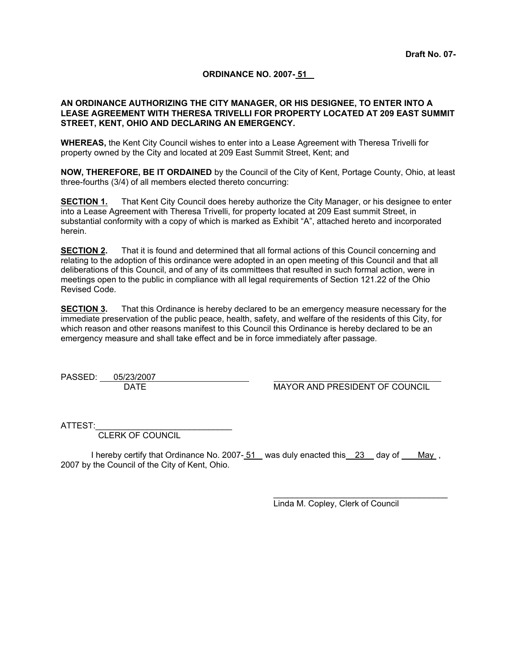#### **ORDINANCE NO. 2007- 51**

#### **AN ORDINANCE AUTHORIZING THE CITY MANAGER, OR HIS DESIGNEE, TO ENTER INTO A LEASE AGREEMENT WITH THERESA TRIVELLI FOR PROPERTY LOCATED AT 209 EAST SUMMIT STREET, KENT, OHIO AND DECLARING AN EMERGENCY.**

**WHEREAS,** the Kent City Council wishes to enter into a Lease Agreement with Theresa Trivelli for property owned by the City and located at 209 East Summit Street, Kent; and

**NOW, THEREFORE, BE IT ORDAINED** by the Council of the City of Kent, Portage County, Ohio, at least three-fourths (3/4) of all members elected thereto concurring:

**SECTION 1.** That Kent City Council does hereby authorize the City Manager, or his designee to enter into a Lease Agreement with Theresa Trivelli, for property located at 209 East summit Street, in substantial conformity with a copy of which is marked as Exhibit "A", attached hereto and incorporated herein.

**SECTION 2.** That it is found and determined that all formal actions of this Council concerning and relating to the adoption of this ordinance were adopted in an open meeting of this Council and that all deliberations of this Council, and of any of its committees that resulted in such formal action, were in meetings open to the public in compliance with all legal requirements of Section 121.22 of the Ohio Revised Code.

**SECTION 3.** That this Ordinance is hereby declared to be an emergency measure necessary for the immediate preservation of the public peace, health, safety, and welfare of the residents of this City, for which reason and other reasons manifest to this Council this Ordinance is hereby declared to be an emergency measure and shall take effect and be in force immediately after passage.

PASSED: 05/23/2007

DATE MAYOR AND PRESIDENT OF COUNCIL

ATTEST:

CLERK OF COUNCIL

I hereby certify that Ordinance No. 2007-51 was duly enacted this 23 day of May, 2007 by the Council of the City of Kent, Ohio.

Linda M. Copley, Clerk of Council

 $\mathcal{L}_\text{max}$  and  $\mathcal{L}_\text{max}$  and  $\mathcal{L}_\text{max}$  and  $\mathcal{L}_\text{max}$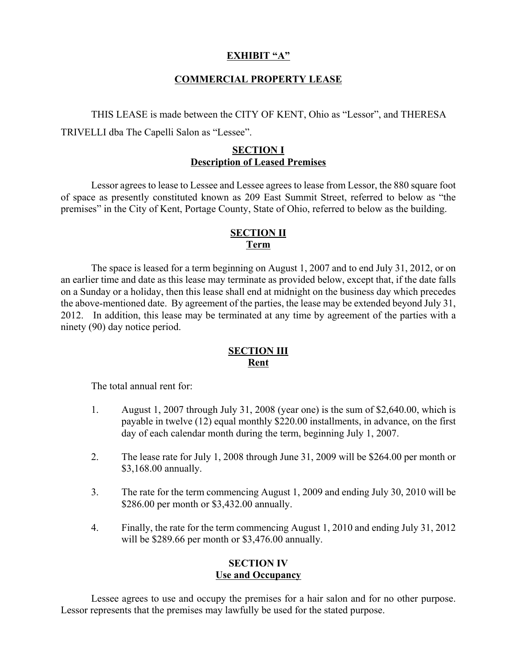# **EXHIBIT "A"**

# **COMMERCIAL PROPERTY LEASE**

THIS LEASE is made between the CITY OF KENT, Ohio as "Lessor", and THERESA TRIVELLI dba The Capelli Salon as "Lessee".

## **SECTION I Description of Leased Premises**

Lessor agrees to lease to Lessee and Lessee agrees to lease from Lessor, the 880 square foot of space as presently constituted known as 209 East Summit Street, referred to below as "the premises" in the City of Kent, Portage County, State of Ohio, referred to below as the building.

# **SECTION II Term**

The space is leased for a term beginning on August 1, 2007 and to end July 31, 2012, or on an earlier time and date as this lease may terminate as provided below, except that, if the date falls on a Sunday or a holiday, then this lease shall end at midnight on the business day which precedes the above-mentioned date. By agreement of the parties, the lease may be extended beyond July 31, 2012. In addition, this lease may be terminated at any time by agreement of the parties with a ninety (90) day notice period.

#### **SECTION III Rent**

The total annual rent for:

- 1. August 1, 2007 through July 31, 2008 (year one) is the sum of \$2,640.00, which is payable in twelve (12) equal monthly \$220.00 installments, in advance, on the first day of each calendar month during the term, beginning July 1, 2007.
- 2. The lease rate for July 1, 2008 through June 31, 2009 will be \$264.00 per month or \$3,168.00 annually.
- 3. The rate for the term commencing August 1, 2009 and ending July 30, 2010 will be \$286.00 per month or \$3,432.00 annually.
- 4. Finally, the rate for the term commencing August 1, 2010 and ending July 31, 2012 will be \$289.66 per month or \$3,476.00 annually.

#### **SECTION IV Use and Occupancy**

Lessee agrees to use and occupy the premises for a hair salon and for no other purpose. Lessor represents that the premises may lawfully be used for the stated purpose.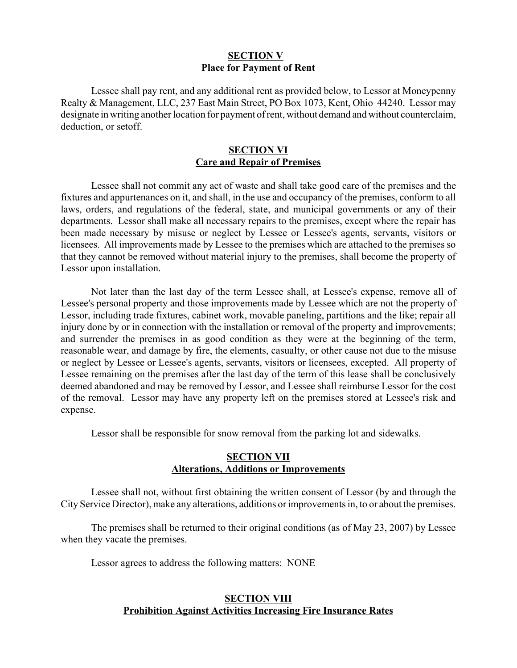# **SECTION V Place for Payment of Rent**

Lessee shall pay rent, and any additional rent as provided below, to Lessor at Moneypenny Realty & Management, LLC, 237 East Main Street, PO Box 1073, Kent, Ohio 44240. Lessor may designate in writing another location for payment of rent, without demand and without counterclaim, deduction, or setoff.

#### **SECTION VI Care and Repair of Premises**

Lessee shall not commit any act of waste and shall take good care of the premises and the fixtures and appurtenances on it, and shall, in the use and occupancy of the premises, conform to all laws, orders, and regulations of the federal, state, and municipal governments or any of their departments. Lessor shall make all necessary repairs to the premises, except where the repair has been made necessary by misuse or neglect by Lessee or Lessee's agents, servants, visitors or licensees. All improvements made by Lessee to the premises which are attached to the premises so that they cannot be removed without material injury to the premises, shall become the property of Lessor upon installation.

Not later than the last day of the term Lessee shall, at Lessee's expense, remove all of Lessee's personal property and those improvements made by Lessee which are not the property of Lessor, including trade fixtures, cabinet work, movable paneling, partitions and the like; repair all injury done by or in connection with the installation or removal of the property and improvements; and surrender the premises in as good condition as they were at the beginning of the term, reasonable wear, and damage by fire, the elements, casualty, or other cause not due to the misuse or neglect by Lessee or Lessee's agents, servants, visitors or licensees, excepted. All property of Lessee remaining on the premises after the last day of the term of this lease shall be conclusively deemed abandoned and may be removed by Lessor, and Lessee shall reimburse Lessor for the cost of the removal. Lessor may have any property left on the premises stored at Lessee's risk and expense.

Lessor shall be responsible for snow removal from the parking lot and sidewalks.

### **SECTION VII Alterations, Additions or Improvements**

Lessee shall not, without first obtaining the written consent of Lessor (by and through the City Service Director), make any alterations, additions or improvements in, to or about the premises.

The premises shall be returned to their original conditions (as of May 23, 2007) by Lessee when they vacate the premises.

Lessor agrees to address the following matters: NONE

# **SECTION VIII Prohibition Against Activities Increasing Fire Insurance Rates**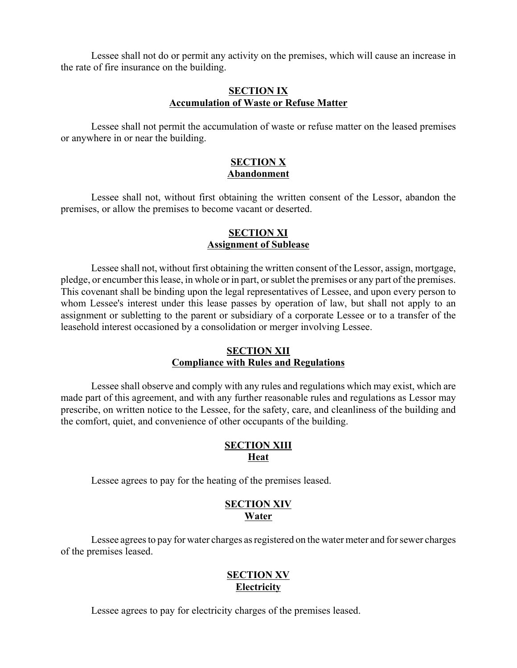Lessee shall not do or permit any activity on the premises, which will cause an increase in the rate of fire insurance on the building.

### **SECTION IX Accumulation of Waste or Refuse Matter**

Lessee shall not permit the accumulation of waste or refuse matter on the leased premises or anywhere in or near the building.

# **SECTION X Abandonment**

Lessee shall not, without first obtaining the written consent of the Lessor, abandon the premises, or allow the premises to become vacant or deserted.

# **SECTION XI Assignment of Sublease**

Lessee shall not, without first obtaining the written consent of the Lessor, assign, mortgage, pledge, or encumber this lease, in whole or in part, or sublet the premises or any part of the premises. This covenant shall be binding upon the legal representatives of Lessee, and upon every person to whom Lessee's interest under this lease passes by operation of law, but shall not apply to an assignment or subletting to the parent or subsidiary of a corporate Lessee or to a transfer of the leasehold interest occasioned by a consolidation or merger involving Lessee.

#### **SECTION XII Compliance with Rules and Regulations**

Lessee shall observe and comply with any rules and regulations which may exist, which are made part of this agreement, and with any further reasonable rules and regulations as Lessor may prescribe, on written notice to the Lessee, for the safety, care, and cleanliness of the building and the comfort, quiet, and convenience of other occupants of the building.

# **SECTION XIII Heat**

Lessee agrees to pay for the heating of the premises leased.

# **SECTION XIV Water**

Lessee agrees to pay for water charges as registered on the water meter and for sewer charges of the premises leased.

# **SECTION XV Electricity**

Lessee agrees to pay for electricity charges of the premises leased.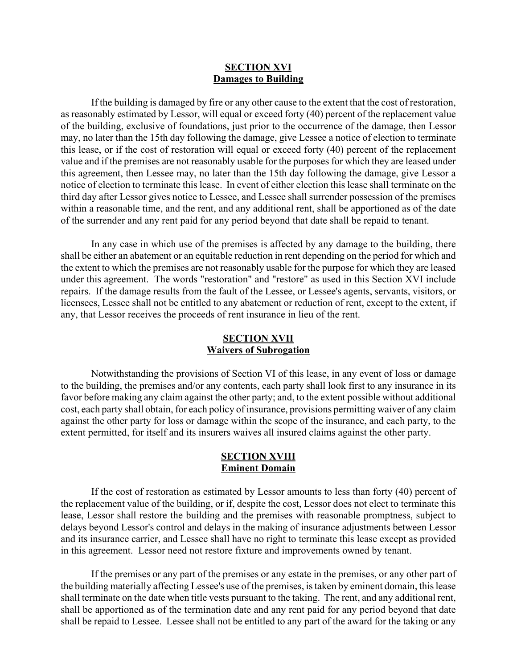#### **SECTION XVI Damages to Building**

If the building is damaged by fire or any other cause to the extent that the cost of restoration, as reasonably estimated by Lessor, will equal or exceed forty (40) percent of the replacement value of the building, exclusive of foundations, just prior to the occurrence of the damage, then Lessor may, no later than the 15th day following the damage, give Lessee a notice of election to terminate this lease, or if the cost of restoration will equal or exceed forty (40) percent of the replacement value and if the premises are not reasonably usable for the purposes for which they are leased under this agreement, then Lessee may, no later than the 15th day following the damage, give Lessor a notice of election to terminate this lease. In event of either election this lease shall terminate on the third day after Lessor gives notice to Lessee, and Lessee shall surrender possession of the premises within a reasonable time, and the rent, and any additional rent, shall be apportioned as of the date of the surrender and any rent paid for any period beyond that date shall be repaid to tenant.

In any case in which use of the premises is affected by any damage to the building, there shall be either an abatement or an equitable reduction in rent depending on the period for which and the extent to which the premises are not reasonably usable for the purpose for which they are leased under this agreement. The words "restoration" and "restore" as used in this Section XVI include repairs. If the damage results from the fault of the Lessee, or Lessee's agents, servants, visitors, or licensees, Lessee shall not be entitled to any abatement or reduction of rent, except to the extent, if any, that Lessor receives the proceeds of rent insurance in lieu of the rent.

#### **SECTION XVII Waivers of Subrogation**

Notwithstanding the provisions of Section VI of this lease, in any event of loss or damage to the building, the premises and/or any contents, each party shall look first to any insurance in its favor before making any claim against the other party; and, to the extent possible without additional cost, each party shall obtain, for each policy of insurance, provisions permitting waiver of any claim against the other party for loss or damage within the scope of the insurance, and each party, to the extent permitted, for itself and its insurers waives all insured claims against the other party.

#### **SECTION XVIII Eminent Domain**

If the cost of restoration as estimated by Lessor amounts to less than forty (40) percent of the replacement value of the building, or if, despite the cost, Lessor does not elect to terminate this lease, Lessor shall restore the building and the premises with reasonable promptness, subject to delays beyond Lessor's control and delays in the making of insurance adjustments between Lessor and its insurance carrier, and Lessee shall have no right to terminate this lease except as provided in this agreement. Lessor need not restore fixture and improvements owned by tenant.

If the premises or any part of the premises or any estate in the premises, or any other part of the building materially affecting Lessee's use of the premises, is taken by eminent domain, this lease shall terminate on the date when title vests pursuant to the taking. The rent, and any additional rent, shall be apportioned as of the termination date and any rent paid for any period beyond that date shall be repaid to Lessee. Lessee shall not be entitled to any part of the award for the taking or any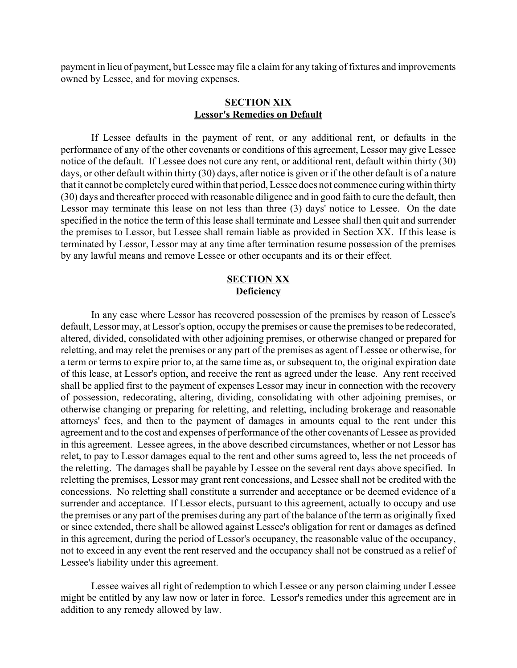payment in lieu of payment, but Lessee may file a claim for any taking of fixtures and improvements owned by Lessee, and for moving expenses.

#### **SECTION XIX Lessor's Remedies on Default**

If Lessee defaults in the payment of rent, or any additional rent, or defaults in the performance of any of the other covenants or conditions of this agreement, Lessor may give Lessee notice of the default. If Lessee does not cure any rent, or additional rent, default within thirty (30) days, or other default within thirty (30) days, after notice is given or if the other default is of a nature that it cannot be completely cured within that period, Lessee does not commence curing within thirty (30) days and thereafter proceed with reasonable diligence and in good faith to cure the default, then Lessor may terminate this lease on not less than three (3) days' notice to Lessee. On the date specified in the notice the term of this lease shall terminate and Lessee shall then quit and surrender the premises to Lessor, but Lessee shall remain liable as provided in Section XX. If this lease is terminated by Lessor, Lessor may at any time after termination resume possession of the premises by any lawful means and remove Lessee or other occupants and its or their effect.

## **SECTION XX Deficiency**

In any case where Lessor has recovered possession of the premises by reason of Lessee's default, Lessor may, at Lessor's option, occupy the premises or cause the premises to be redecorated, altered, divided, consolidated with other adjoining premises, or otherwise changed or prepared for reletting, and may relet the premises or any part of the premises as agent of Lessee or otherwise, for a term or terms to expire prior to, at the same time as, or subsequent to, the original expiration date of this lease, at Lessor's option, and receive the rent as agreed under the lease. Any rent received shall be applied first to the payment of expenses Lessor may incur in connection with the recovery of possession, redecorating, altering, dividing, consolidating with other adjoining premises, or otherwise changing or preparing for reletting, and reletting, including brokerage and reasonable attorneys' fees, and then to the payment of damages in amounts equal to the rent under this agreement and to the cost and expenses of performance of the other covenants of Lessee as provided in this agreement. Lessee agrees, in the above described circumstances, whether or not Lessor has relet, to pay to Lessor damages equal to the rent and other sums agreed to, less the net proceeds of the reletting. The damages shall be payable by Lessee on the several rent days above specified. In reletting the premises, Lessor may grant rent concessions, and Lessee shall not be credited with the concessions. No reletting shall constitute a surrender and acceptance or be deemed evidence of a surrender and acceptance. If Lessor elects, pursuant to this agreement, actually to occupy and use the premises or any part of the premises during any part of the balance of the term as originally fixed or since extended, there shall be allowed against Lessee's obligation for rent or damages as defined in this agreement, during the period of Lessor's occupancy, the reasonable value of the occupancy, not to exceed in any event the rent reserved and the occupancy shall not be construed as a relief of Lessee's liability under this agreement.

Lessee waives all right of redemption to which Lessee or any person claiming under Lessee might be entitled by any law now or later in force. Lessor's remedies under this agreement are in addition to any remedy allowed by law.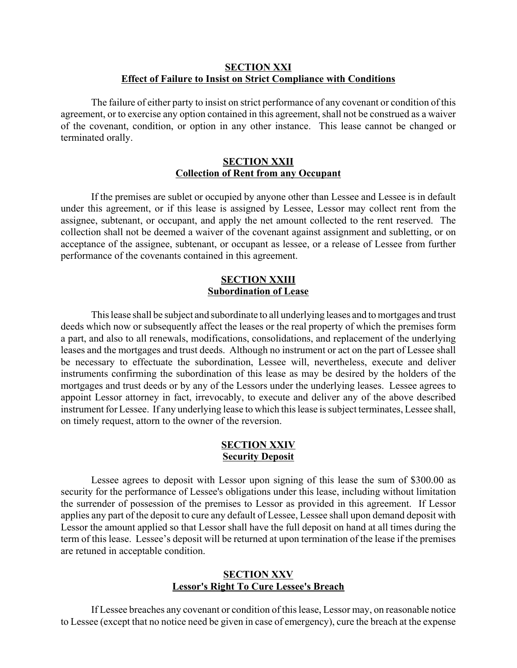#### **SECTION XXI Effect of Failure to Insist on Strict Compliance with Conditions**

The failure of either party to insist on strict performance of any covenant or condition of this agreement, or to exercise any option contained in this agreement, shall not be construed as a waiver of the covenant, condition, or option in any other instance. This lease cannot be changed or terminated orally.

#### **SECTION XXII Collection of Rent from any Occupant**

If the premises are sublet or occupied by anyone other than Lessee and Lessee is in default under this agreement, or if this lease is assigned by Lessee, Lessor may collect rent from the assignee, subtenant, or occupant, and apply the net amount collected to the rent reserved. The collection shall not be deemed a waiver of the covenant against assignment and subletting, or on acceptance of the assignee, subtenant, or occupant as lessee, or a release of Lessee from further performance of the covenants contained in this agreement.

### **SECTION XXIII Subordination of Lease**

This lease shall be subject and subordinate to all underlying leases and to mortgages and trust deeds which now or subsequently affect the leases or the real property of which the premises form a part, and also to all renewals, modifications, consolidations, and replacement of the underlying leases and the mortgages and trust deeds. Although no instrument or act on the part of Lessee shall be necessary to effectuate the subordination, Lessee will, nevertheless, execute and deliver instruments confirming the subordination of this lease as may be desired by the holders of the mortgages and trust deeds or by any of the Lessors under the underlying leases. Lessee agrees to appoint Lessor attorney in fact, irrevocably, to execute and deliver any of the above described instrument for Lessee. If any underlying lease to which this lease is subject terminates, Lessee shall, on timely request, attorn to the owner of the reversion.

#### **SECTION XXIV Security Deposit**

Lessee agrees to deposit with Lessor upon signing of this lease the sum of \$300.00 as security for the performance of Lessee's obligations under this lease, including without limitation the surrender of possession of the premises to Lessor as provided in this agreement. If Lessor applies any part of the deposit to cure any default of Lessee, Lessee shall upon demand deposit with Lessor the amount applied so that Lessor shall have the full deposit on hand at all times during the term of this lease. Lessee's deposit will be returned at upon termination of the lease if the premises are retuned in acceptable condition.

#### **SECTION XXV Lessor's Right To Cure Lessee's Breach**

If Lessee breaches any covenant or condition of this lease, Lessor may, on reasonable notice to Lessee (except that no notice need be given in case of emergency), cure the breach at the expense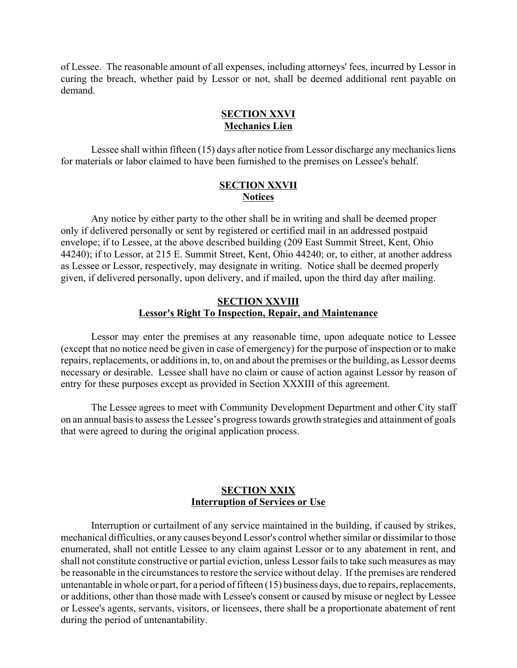of Lessee. The reasonable amount of all expenses, including attorneys' fees, incurred by Lessor in curing the breach, whether paid by Lessor or not, shall be deemed additional rent payable on demand.

# **SECTION XXVI Mechanics Lien**

Lessee shall within fifteen (15) days after notice from Lessor discharge any mechanics liens for materials or labor claimed to have been furnished to the premises on Lessee's behalf.

#### **SECTION XXVII Notices**

Any notice by either party to the other shall be in writing and shall be deemed proper only if delivered personally or sent by registered or certified mail in an addressed postpaid envelope; if to Lessee, at the above described building (209 East Summit Street, Kent, Ohio 44240); if to Lessor, at 215 E. Summit Street, Kent, Ohio 44240; or, to either, at another address as Lessee or Lessor, respectively, may designate in writing. Notice shall be deemed properly given, if delivered personally, upon delivery, and if mailed, upon the third day after mailing.

### **SECTION XXVIII Lessor's Right To Inspection, Repair, and Maintenance**

Lessor may enter the premises at any reasonable time, upon adequate notice to Lessee (except that no notice need be given in case of emergency) for the purpose of inspection or to make repairs, replacements, or additions in, to, on and about the premises or the building, as Lessor deems necessary or desirable. Lessee shall have no claim or cause of action against Lessor by reason of entry for these purposes except as provided in Section XXXIII of this agreement.

The Lessee agrees to meet with Community Development Department and other City staff on an annual basis to assess the Lessee's progress towards growth strategies and attainment of goals that were agreed to during the original application process.

# **SECTION XXIX Interruption of Services or Use**

Interruption or curtailment of any service maintained in the building, if caused by strikes, mechanical difficulties, or any causes beyond Lessor's control whether similar or dissimilar to those enumerated, shall not entitle Lessee to any claim against Lessor or to any abatement in rent, and shall not constitute constructive or partial eviction, unless Lessor fails to take such measures as may be reasonable in the circumstances to restore the service without delay. If the premises are rendered untenantable in whole or part, for a period of fifteen (15) business days, due to repairs, replacements, or additions, other than those made with Lessee's consent or caused by misuse or neglect by Lessee or Lessee's agents, servants, visitors, or licensees, there shall be a proportionate abatement of rent during the period of untenantability.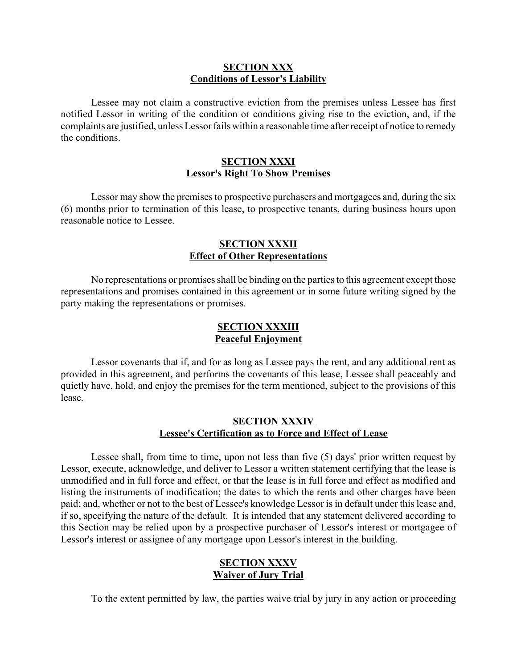#### **SECTION XXX Conditions of Lessor's Liability**

Lessee may not claim a constructive eviction from the premises unless Lessee has first notified Lessor in writing of the condition or conditions giving rise to the eviction, and, if the complaints are justified, unless Lessor fails within a reasonable time after receipt of notice to remedy the conditions.

#### **SECTION XXXI Lessor's Right To Show Premises**

Lessor may show the premises to prospective purchasers and mortgagees and, during the six (6) months prior to termination of this lease, to prospective tenants, during business hours upon reasonable notice to Lessee.

# **SECTION XXXII Effect of Other Representations**

No representations or promises shall be binding on the parties to this agreement except those representations and promises contained in this agreement or in some future writing signed by the party making the representations or promises.

# **SECTION XXXIII Peaceful Enjoyment**

Lessor covenants that if, and for as long as Lessee pays the rent, and any additional rent as provided in this agreement, and performs the covenants of this lease, Lessee shall peaceably and quietly have, hold, and enjoy the premises for the term mentioned, subject to the provisions of this lease.

#### **SECTION XXXIV Lessee's Certification as to Force and Effect of Lease**

Lessee shall, from time to time, upon not less than five (5) days' prior written request by Lessor, execute, acknowledge, and deliver to Lessor a written statement certifying that the lease is unmodified and in full force and effect, or that the lease is in full force and effect as modified and listing the instruments of modification; the dates to which the rents and other charges have been paid; and, whether or not to the best of Lessee's knowledge Lessor is in default under this lease and, if so, specifying the nature of the default. It is intended that any statement delivered according to this Section may be relied upon by a prospective purchaser of Lessor's interest or mortgagee of Lessor's interest or assignee of any mortgage upon Lessor's interest in the building.

# **SECTION XXXV Waiver of Jury Trial**

To the extent permitted by law, the parties waive trial by jury in any action or proceeding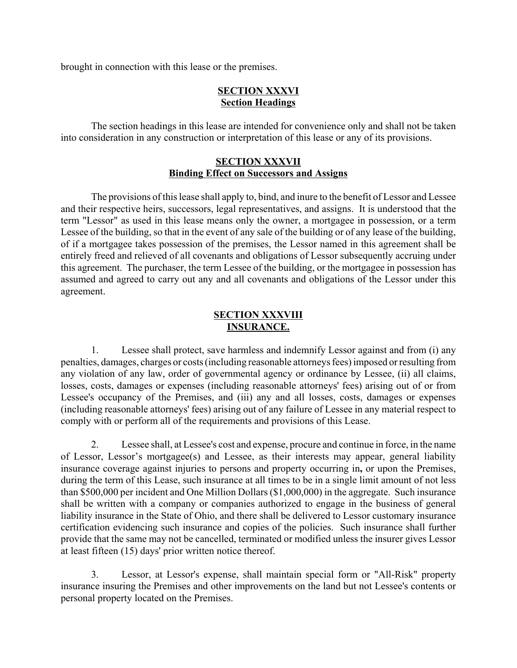brought in connection with this lease or the premises.

# **SECTION XXXVI Section Headings**

The section headings in this lease are intended for convenience only and shall not be taken into consideration in any construction or interpretation of this lease or any of its provisions.

#### **SECTION XXXVII Binding Effect on Successors and Assigns**

The provisions of this lease shall apply to, bind, and inure to the benefit of Lessor and Lessee and their respective heirs, successors, legal representatives, and assigns. It is understood that the term "Lessor" as used in this lease means only the owner, a mortgagee in possession, or a term Lessee of the building, so that in the event of any sale of the building or of any lease of the building, of if a mortgagee takes possession of the premises, the Lessor named in this agreement shall be entirely freed and relieved of all covenants and obligations of Lessor subsequently accruing under this agreement. The purchaser, the term Lessee of the building, or the mortgagee in possession has assumed and agreed to carry out any and all covenants and obligations of the Lessor under this agreement.

# **SECTION XXXVIII INSURANCE.**

1. Lessee shall protect, save harmless and indemnify Lessor against and from (i) any penalties, damages, charges or costs (including reasonable attorneys fees) imposed or resulting from any violation of any law, order of governmental agency or ordinance by Lessee, (ii) all claims, losses, costs, damages or expenses (including reasonable attorneys' fees) arising out of or from Lessee's occupancy of the Premises, and (iii) any and all losses, costs, damages or expenses (including reasonable attorneys' fees) arising out of any failure of Lessee in any material respect to comply with or perform all of the requirements and provisions of this Lease.

2. Lessee shall, at Lessee's cost and expense, procure and continue in force, in the name of Lessor, Lessor's mortgagee(s) and Lessee, as their interests may appear, general liability insurance coverage against injuries to persons and property occurring in**,** or upon the Premises, during the term of this Lease, such insurance at all times to be in a single limit amount of not less than \$500,000 per incident and One Million Dollars (\$1,000,000) in the aggregate. Such insurance shall be written with a company or companies authorized to engage in the business of general liability insurance in the State of Ohio, and there shall be delivered to Lessor customary insurance certification evidencing such insurance and copies of the policies. Such insurance shall further provide that the same may not be cancelled, terminated or modified unless the insurer gives Lessor at least fifteen (15) days' prior written notice thereof.

3. Lessor, at Lessor's expense, shall maintain special form or "All-Risk" property insurance insuring the Premises and other improvements on the land but not Lessee's contents or personal property located on the Premises.